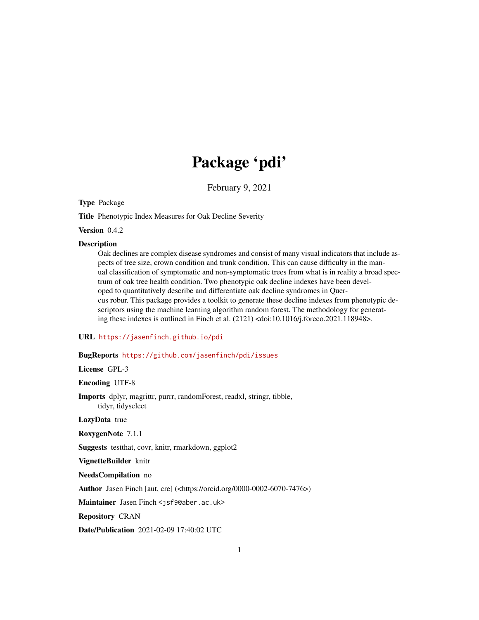# Package 'pdi'

February 9, 2021

Type Package

Title Phenotypic Index Measures for Oak Decline Severity

Version 0.4.2

#### **Description**

Oak declines are complex disease syndromes and consist of many visual indicators that include aspects of tree size, crown condition and trunk condition. This can cause difficulty in the manual classification of symptomatic and non-symptomatic trees from what is in reality a broad spectrum of oak tree health condition. Two phenotypic oak decline indexes have been developed to quantitatively describe and differentiate oak decline syndromes in Quercus robur. This package provides a toolkit to generate these decline indexes from phenotypic descriptors using the machine learning algorithm random forest. The methodology for generating these indexes is outlined in Finch et al. (2121) <doi:10.1016/j.foreco.2021.118948>.

URL <https://jasenfinch.github.io/pdi>

#### BugReports <https://github.com/jasenfinch/pdi/issues>

License GPL-3

Encoding UTF-8

Imports dplyr, magrittr, purrr, randomForest, readxl, stringr, tibble, tidyr, tidyselect

LazyData true

RoxygenNote 7.1.1

Suggests testthat, covr, knitr, rmarkdown, ggplot2

VignetteBuilder knitr

NeedsCompilation no

Author Jasen Finch [aut, cre] (<https://orcid.org/0000-0002-6070-7476>)

Maintainer Jasen Finch <jsf9@aber.ac.uk>

Repository CRAN

Date/Publication 2021-02-09 17:40:02 UTC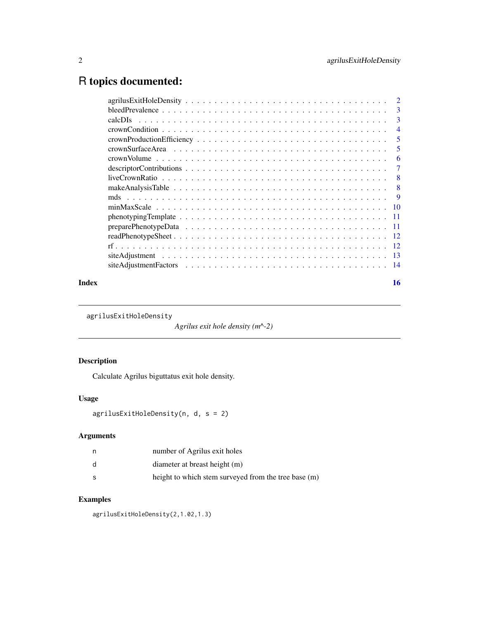## <span id="page-1-0"></span>R topics documented:

| Index |                                                                                                                                   | 16             |
|-------|-----------------------------------------------------------------------------------------------------------------------------------|----------------|
|       |                                                                                                                                   |                |
|       |                                                                                                                                   |                |
|       |                                                                                                                                   |                |
|       |                                                                                                                                   |                |
|       |                                                                                                                                   |                |
|       | $phenotypingTemplate \dots \dots \dots \dots \dots \dots \dots \dots \dots \dots \dots \dots \dots \dots \dots \dots \dots \dots$ |                |
|       |                                                                                                                                   |                |
|       |                                                                                                                                   | - 9            |
|       |                                                                                                                                   | $-8$           |
|       |                                                                                                                                   | $-8$           |
|       |                                                                                                                                   | $\overline{7}$ |
|       |                                                                                                                                   | 6              |
|       |                                                                                                                                   | -5             |
|       |                                                                                                                                   | -5             |
|       |                                                                                                                                   | $\overline{4}$ |
|       |                                                                                                                                   | 3              |
|       |                                                                                                                                   | -3             |
|       |                                                                                                                                   | $\overline{2}$ |

agrilusExitHoleDensity

*Agrilus exit hole density (m^-2)*

#### Description

Calculate Agrilus biguttatus exit hole density.

### Usage

```
agrilusExitHoleDensity(n, d, s = 2)
```
#### Arguments

| n | number of Agrilus exit holes                         |
|---|------------------------------------------------------|
| d | diameter at breast height (m)                        |
| s | height to which stem surveyed from the tree base (m) |

#### Examples

agrilusExitHoleDensity(2,1.02,1.3)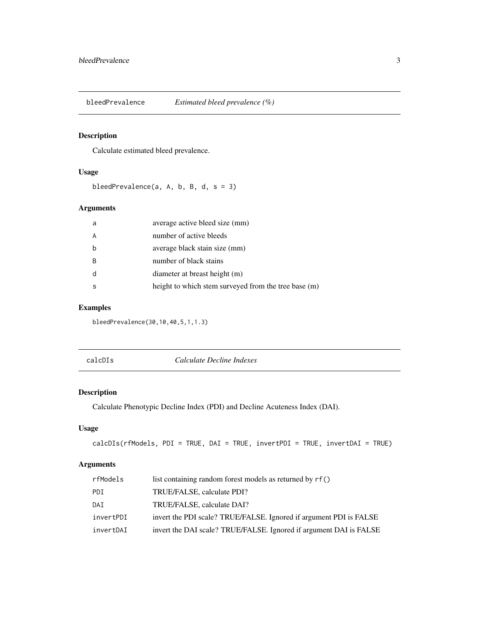<span id="page-2-0"></span>

#### Description

Calculate estimated bleed prevalence.

#### Usage

bleedPrevalence(a, A, b, B, d, s = 3)

#### Arguments

| a | average active bleed size (mm)                       |
|---|------------------------------------------------------|
| A | number of active bleeds                              |
| b | average black stain size (mm)                        |
| B | number of black stains                               |
| d | diameter at breast height (m)                        |
| S | height to which stem surveyed from the tree base (m) |

#### Examples

bleedPrevalence(30,10,40,5,1,1.3)

calcDIs *Calculate Decline Indexes*

#### Description

Calculate Phenotypic Decline Index (PDI) and Decline Acuteness Index (DAI).

#### Usage

```
calcDIs(rfModels, PDI = TRUE, DAI = TRUE, invertPDI = TRUE, invertDAI = TRUE)
```
#### Arguments

| rfModels  | list containing random forest models as returned by rf()           |
|-----------|--------------------------------------------------------------------|
| PDI       | TRUE/FALSE, calculate PDI?                                         |
| DAI       | TRUE/FALSE, calculate DAI?                                         |
| invertPDI | invert the PDI scale? TRUE/FALSE. Ignored if argument PDI is FALSE |
| invertDAI | invert the DAI scale? TRUE/FALSE. Ignored if argument DAI is FALSE |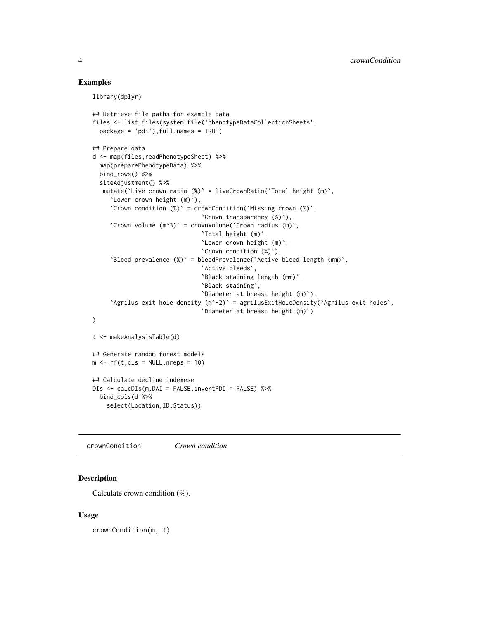#### <span id="page-3-0"></span>Examples

library(dplyr)

```
## Retrieve file paths for example data
files <- list.files(system.file('phenotypeDataCollectionSheets',
  package = 'pdi'),full.names = TRUE)
## Prepare data
d <- map(files,readPhenotypeSheet) %>%
  map(preparePhenotypeData) %>%
  bind_rows() %>%
  siteAdjustment() %>%
  mutate(`Live crown ratio (%)` = liveCrownRatio(`Total height (m)`,
     `Lower crown height (m)`),
     `Crown condition (%)` = crownCondition(`Missing crown (%)`,
                               `Crown transparency (%)`),
     `Crown volume (m^3)` = crownVolume(`Crown radius (m)`,
                                `Total height (m)`,
                                `Lower crown height (m)`,
                               `Crown condition (%)`),
     `Bleed prevalence (%)` = bleedPrevalence(`Active bleed length (mm)`,
                                `Active bleeds`,
                                `Black staining length (mm)`,
                               `Black staining`,
                                `Diameter at breast height (m)`),
     `Agrilus exit hole density (m^-2)` = agrilusExitHoleDensity(`Agrilus exit holes`,
                                `Diameter at breast height (m)`)
)
t <- makeAnalysisTable(d)
## Generate random forest models
m \leftarrow rf(t, cls = NULL, nreps = 10)## Calculate decline indexese
DIs <- calcDIs(m,DAI = FALSE,invertPDI = FALSE) %>%
  bind_cols(d %>%
    select(Location, ID, Status))
```
crownCondition *Crown condition*

#### Description

Calculate crown condition (%).

#### Usage

crownCondition(m, t)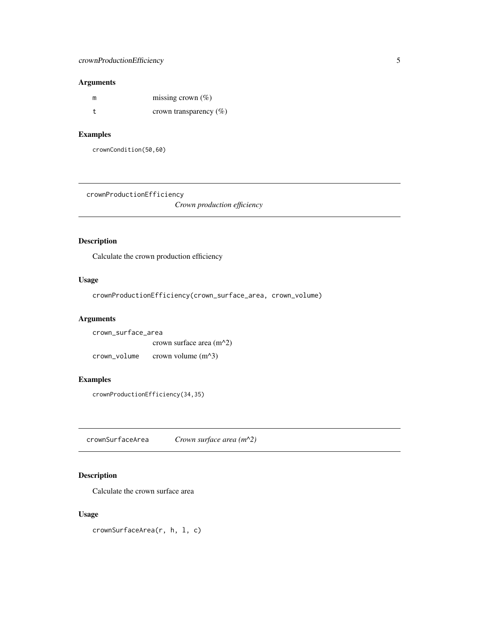#### <span id="page-4-0"></span>crownProductionEfficiency 5

#### Arguments

| m | missing crown $(\%)$       |
|---|----------------------------|
|   | crown transparency $(\% )$ |

#### Examples

crownCondition(50,60)

crownProductionEfficiency

*Crown production efficiency*

#### Description

Calculate the crown production efficiency

#### Usage

crownProductionEfficiency(crown\_surface\_area, crown\_volume)

#### Arguments

| crown surface area |                            |  |
|--------------------|----------------------------|--|
|                    | crown surface area $(m^2)$ |  |
| crown volume       | crown volume $(m^2)$       |  |

#### Examples

crownProductionEfficiency(34,35)

crownSurfaceArea *Crown surface area (m^2)*

#### Description

Calculate the crown surface area

#### Usage

crownSurfaceArea(r, h, l, c)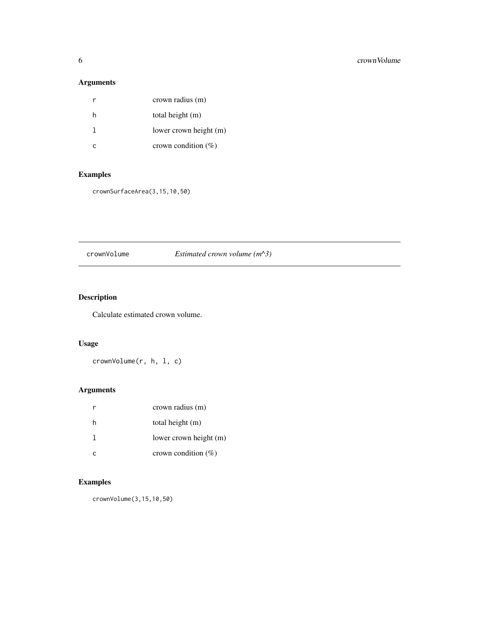#### <span id="page-5-0"></span>Arguments

| r | crown radius (m)        |
|---|-------------------------|
| h | total height (m)        |
|   | lower crown height (m)  |
| r | crown condition $(\% )$ |

#### Examples

crownSurfaceArea(3,15,10,50)

#### crownVolume *Estimated crown volume (m^3)*

#### Description

Calculate estimated crown volume.

#### Usage

crownVolume(r, h, l, c)

#### Arguments

|   | crown radius (m)        |
|---|-------------------------|
| h | total height (m)        |
|   | lower crown height (m)  |
|   | crown condition $(\% )$ |

#### Examples

crownVolume(3,15,10,50)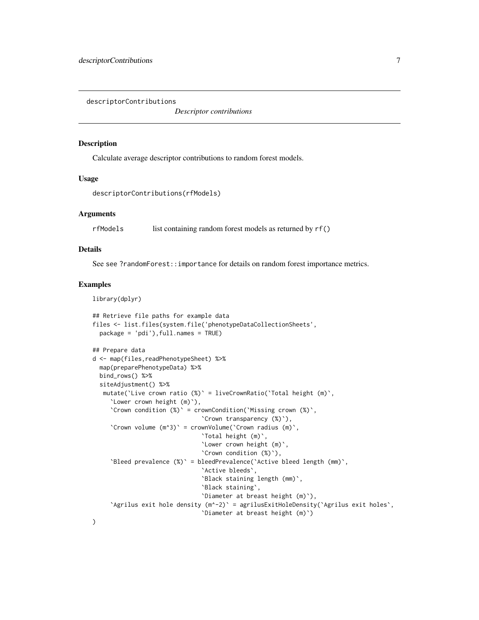<span id="page-6-0"></span>descriptorContributions

*Descriptor contributions*

#### Description

Calculate average descriptor contributions to random forest models.

#### Usage

```
descriptorContributions(rfModels)
```
#### Arguments

rfModels list containing random forest models as returned by rf()

#### Details

See see ?randomForest::importance for details on random forest importance metrics.

#### Examples

```
library(dplyr)
```

```
## Retrieve file paths for example data
files <- list.files(system.file('phenotypeDataCollectionSheets',
 package = 'pdi'),full.names = TRUE)
## Prepare data
d <- map(files,readPhenotypeSheet) %>%
 map(preparePhenotypeData) %>%
 bind_rows() %>%
 siteAdjustment() %>%
  mutate('Live crown ratio (%)' = liveCrownRatio('Total height (m)',
     `Lower crown height (m)`),
     `Crown condition (%)` = crownCondition(`Missing crown (%)`,
                               `Crown transparency (%)`),
     `Crown volume (m^3)` = crownVolume(`Crown radius (m)`,
                               `Total height (m)`,
                               `Lower crown height (m)`,
                               `Crown condition (%)`),
     `Bleed prevalence (%)` = bleedPrevalence(`Active bleed length (mm)`,
                               `Active bleeds`,
                               `Black staining length (mm)`,
                               `Black staining`,
                               `Diameter at breast height (m)`),
     `Agrilus exit hole density (m^-2)` = agrilusExitHoleDensity(`Agrilus exit holes`,
                               `Diameter at breast height (m)`)
```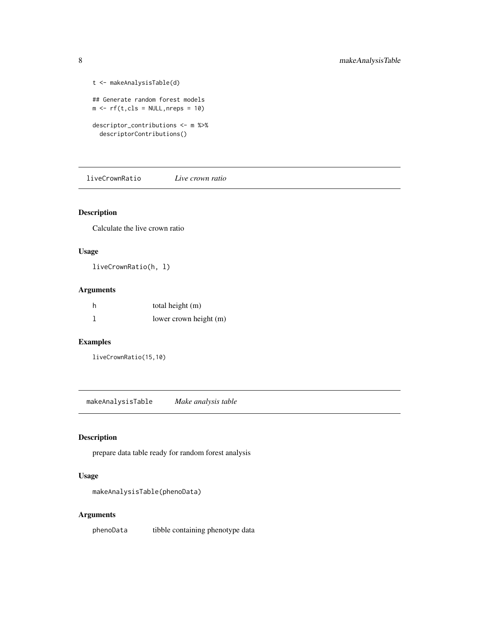```
t <- makeAnalysisTable(d)
## Generate random forest models
m \leftarrow rf(t, cls = NULL, nreps = 10)descriptor_contributions <- m %>%
  descriptorContributions()
```
liveCrownRatio *Live crown ratio*

#### Description

Calculate the live crown ratio

#### Usage

liveCrownRatio(h, l)

#### Arguments

| h | total height (m)       |
|---|------------------------|
|   | lower crown height (m) |

#### Examples

liveCrownRatio(15,10)

makeAnalysisTable *Make analysis table*

#### Description

prepare data table ready for random forest analysis

#### Usage

makeAnalysisTable(phenoData)

#### Arguments

phenoData tibble containing phenotype data

<span id="page-7-0"></span>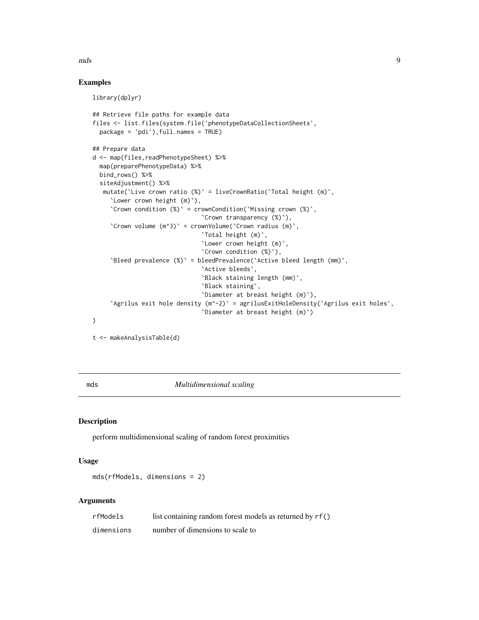#### <span id="page-8-0"></span>mds 9

#### Examples

library(dplyr)

```
## Retrieve file paths for example data
files <- list.files(system.file('phenotypeDataCollectionSheets',
  package = 'pdi'),full.names = TRUE)
## Prepare data
d <- map(files,readPhenotypeSheet) %>%
  map(preparePhenotypeData) %>%
  bind_rows() %>%
  siteAdjustment() %>%
  mutate(`Live crown ratio (%)` = liveCrownRatio(`Total height (m)`,
     `Lower crown height (m)`),
     `Crown condition (%)` = crownCondition(`Missing crown (%)`,
                               `Crown transparency (%)`),
     `Crown volume (m^3)` = crownVolume(`Crown radius (m)`,
                               `Total height (m)`,
                               `Lower crown height (m)`,
                               `Crown condition (%)`),
     `Bleed prevalence (%)` = bleedPrevalence(`Active bleed length (mm)`,
                               `Active bleeds`,
                               `Black staining length (mm)`,
                               `Black staining`,
                               `Diameter at breast height (m)`),
     `Agrilus exit hole density (m^-2)` = agrilusExitHoleDensity(`Agrilus exit holes`,
                               `Diameter at breast height (m)`)
)
t <- makeAnalysisTable(d)
```
mds *Multidimensional scaling*

#### Description

perform multidimensional scaling of random forest proximities

#### Usage

```
mds(rfModels, dimensions = 2)
```
#### Arguments

| rfModels   | list containing random forest models as returned by rf() |
|------------|----------------------------------------------------------|
| dimensions | number of dimensions to scale to                         |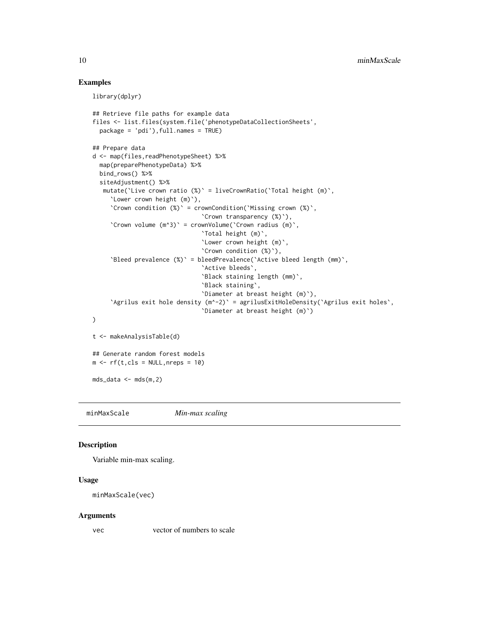#### Examples

library(dplyr)

```
## Retrieve file paths for example data
files <- list.files(system.file('phenotypeDataCollectionSheets',
  package = 'pdi'), full.name = TRUE)
## Prepare data
d <- map(files,readPhenotypeSheet) %>%
  map(preparePhenotypeData) %>%
  bind_rows() %>%
  siteAdjustment() %>%
  mutate(`Live crown ratio (%)` = liveCrownRatio(`Total height (m)`,
     `Lower crown height (m)`),
     `Crown condition (%)` = crownCondition(`Missing crown (%)`,
                               `Crown transparency (%)`),
     `Crown volume (m^3)` = crownVolume(`Crown radius (m)`,
                               `Total height (m)`,
                               `Lower crown height (m)`,
                               `Crown condition (%)`),
     `Bleed prevalence (%)` = bleedPrevalence(`Active bleed length (mm)`,
                                `Active bleeds`,
                                `Black staining length (mm)`,
                               `Black staining`,
                                `Diameter at breast height (m)`),
     `Agrilus exit hole density (m^-2)` = agrilusExitHoleDensity(`Agrilus exit holes`,
                                `Diameter at breast height (m)`)
)
t <- makeAnalysisTable(d)
## Generate random forest models
m \leftarrow rf(t, cls = NULL, nreps = 10)mds_data <- mds(m,2)
```
minMaxScale *Min-max scaling*

#### Description

Variable min-max scaling.

#### Usage

```
minMaxScale(vec)
```
#### Arguments

vec vector of numbers to scale

<span id="page-9-0"></span>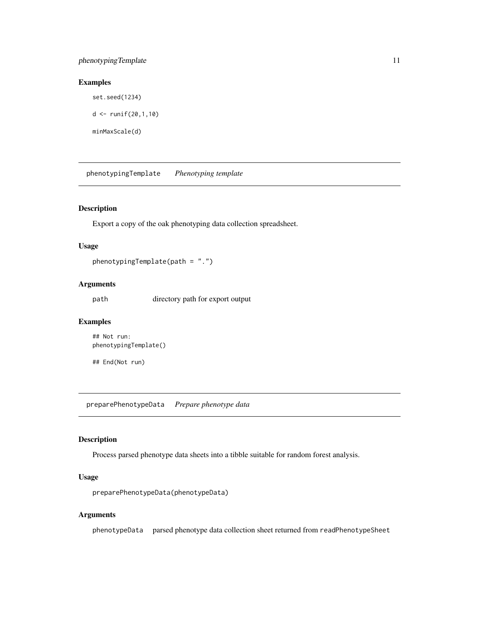#### <span id="page-10-0"></span>phenotypingTemplate 11

#### Examples

```
set.seed(1234)
```
 $d \le -r$ unif(20,1,10)

minMaxScale(d)

phenotypingTemplate *Phenotyping template*

#### Description

Export a copy of the oak phenotyping data collection spreadsheet.

#### Usage

phenotypingTemplate(path = ".")

#### Arguments

path directory path for export output

#### Examples

```
## Not run:
phenotypingTemplate()
```
## End(Not run)

preparePhenotypeData *Prepare phenotype data*

#### Description

Process parsed phenotype data sheets into a tibble suitable for random forest analysis.

#### Usage

preparePhenotypeData(phenotypeData)

#### Arguments

phenotypeData parsed phenotype data collection sheet returned from readPhenotypeSheet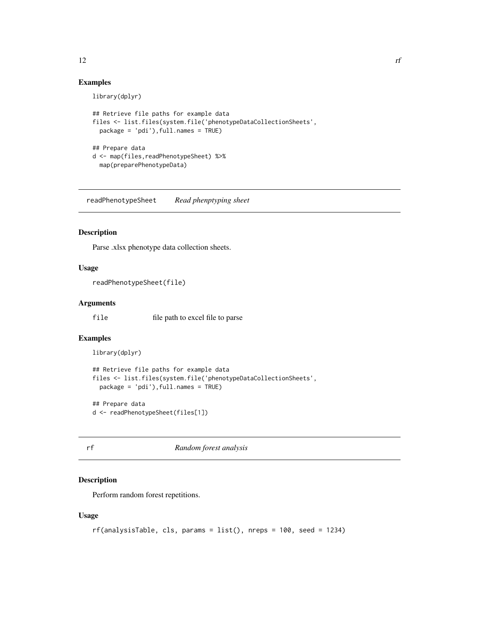#### Examples

library(dplyr)

```
## Retrieve file paths for example data
files <- list.files(system.file('phenotypeDataCollectionSheets',
  package = 'pdi'),full.names = TRUE)
## Prepare data
d <- map(files,readPhenotypeSheet) %>%
  map(preparePhenotypeData)
```
readPhenotypeSheet *Read phenptyping sheet*

#### Description

Parse .xlsx phenotype data collection sheets.

#### Usage

readPhenotypeSheet(file)

#### Arguments

file file path to excel file to parse

#### Examples

```
library(dplyr)
```

```
## Retrieve file paths for example data
files <- list.files(system.file('phenotypeDataCollectionSheets',
 package = 'pdi'),full.names = TRUE)
```

```
## Prepare data
d <- readPhenotypeSheet(files[1])
```
rf *Random forest analysis*

#### Description

Perform random forest repetitions.

#### Usage

```
rf(analysisTable, cls, params = list(), nreps = 100, seed = 1234)
```
<span id="page-11-0"></span> $12$  rf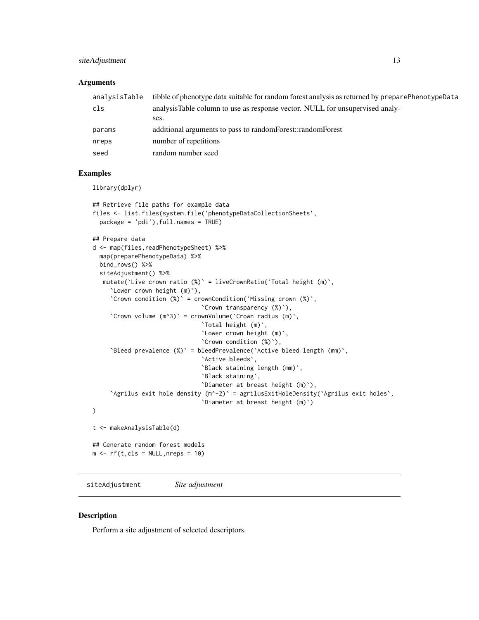#### <span id="page-12-0"></span>siteAdjustment 13

#### **Arguments**

| analysisTable | tibble of phenotype data suitable for random forest analysis as returned by preparePhenotypeData |
|---------------|--------------------------------------------------------------------------------------------------|
| cls           | analysisTable column to use as response vector. NULL for unsupervised analy-                     |
|               | ses.                                                                                             |
| params        | additional arguments to pass to random Forest::random Forest                                     |
| nreps         | number of repetitions                                                                            |
| seed          | random number seed                                                                               |
|               |                                                                                                  |

#### Examples

library(dplyr)

```
## Retrieve file paths for example data
files <- list.files(system.file('phenotypeDataCollectionSheets',
  package = 'pdi'),full.names = TRUE)
## Prepare data
d <- map(files,readPhenotypeSheet) %>%
  map(preparePhenotypeData) %>%
  bind_rows() %>%
  siteAdjustment() %>%
  mutate(`Live crown ratio (%)` = liveCrownRatio(`Total height (m)`,
     `Lower crown height (m)`),
     `Crown condition (%)` = crownCondition(`Missing crown (%)`,
                               `Crown transparency (%)`),
     `Crown volume (m^3)` = crownVolume(`Crown radius (m)`,
                               `Total height (m)`,
                                `Lower crown height (m)`,
                               `Crown condition (%)`),
     `Bleed prevalence (%)` = bleedPrevalence(`Active bleed length (mm)`,
                                `Active bleeds`,
                                `Black staining length (mm)`,
                               `Black staining`,
                                `Diameter at breast height (m)`),
     `Agrilus exit hole density (m^-2)` = agrilusExitHoleDensity(`Agrilus exit holes`,
                                `Diameter at breast height (m)`)
)
t <- makeAnalysisTable(d)
## Generate random forest models
m \leftarrow rf(t, cls = NULL, nreps = 10)
```
siteAdjustment *Site adjustment*

#### Description

Perform a site adjustment of selected descriptors.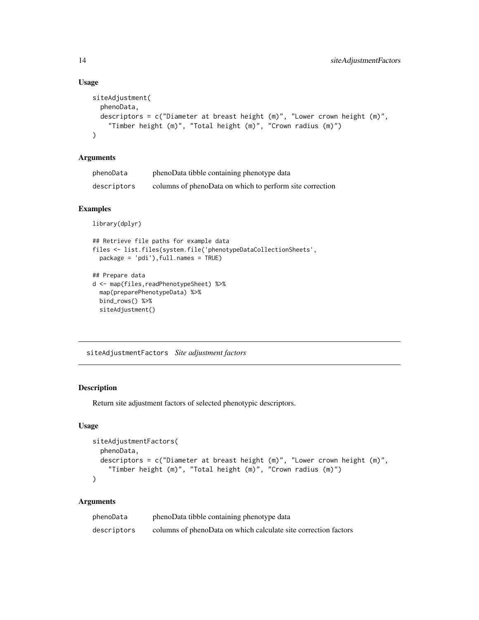#### Usage

```
siteAdjustment(
 phenoData,
  descriptors = c("Diameter at breast height (m)", "Lower crown height (m)",
    "Timber height (m)", "Total height (m)", "Crown radius (m)")
\mathcal{L}
```
#### Arguments

| phenoData   | phenoData tibble containing phenotype data               |
|-------------|----------------------------------------------------------|
| descriptors | columns of phenoData on which to perform site correction |

#### Examples

```
library(dplyr)
```

```
## Retrieve file paths for example data
files <- list.files(system.file('phenotypeDataCollectionSheets',
  package = 'pdi'),full.names = TRUE)
## Prepare data
d <- map(files,readPhenotypeSheet) %>%
  map(preparePhenotypeData) %>%
  bind_rows() %>%
  siteAdjustment()
```
siteAdjustmentFactors *Site adjustment factors*

#### Description

Return site adjustment factors of selected phenotypic descriptors.

#### Usage

```
siteAdjustmentFactors(
 phenoData,
 descriptors = c("Diameter at breast height (m)", "Lower crown height (m)",
    "Timber height (m)", "Total height (m)", "Crown radius (m)")
)
```
#### Arguments

| phenoData   | phenoData tibble containing phenotype data                      |
|-------------|-----------------------------------------------------------------|
| descriptors | columns of phenoData on which calculate site correction factors |

<span id="page-13-0"></span>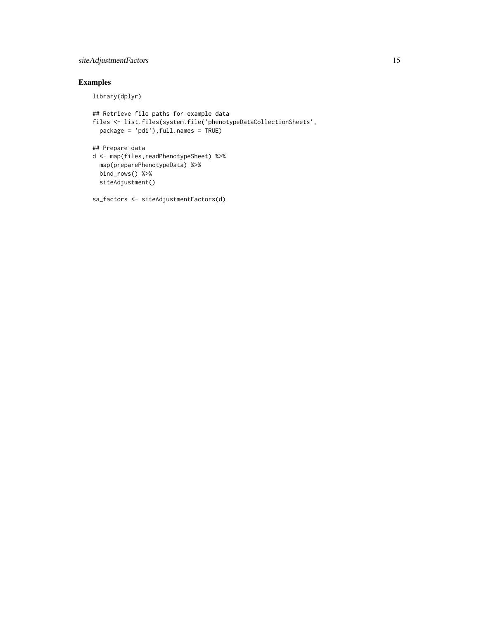#### siteAdjustmentFactors 15

#### Examples

library(dplyr)

```
## Retrieve file paths for example data
files <- list.files(system.file('phenotypeDataCollectionSheets',
 package = 'pdi'),full.names = TRUE)
## Prepare data
d <- map(files,readPhenotypeSheet) %>%
 map(preparePhenotypeData) %>%
 bind_rows() %>%
 siteAdjustment()
```
sa\_factors <- siteAdjustmentFactors(d)